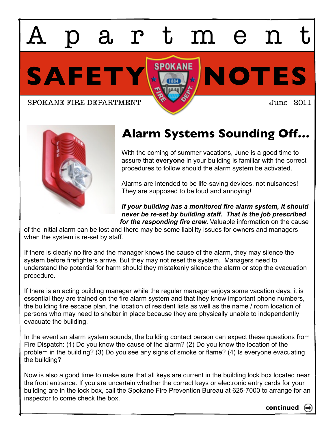SAFETY **X** SPOKANE NOTES artmen

SPOKANE FIRE DEPARTMENT **JULIE 1999** June 2011



## **Alarm Systems Sounding Off…**

With the coming of summer vacations, June is a good time to assure that **everyone** in your building is familiar with the correct procedures to follow should the alarm system be activated.

Alarms are intended to be life-saving devices, not nuisances! They are supposed to be loud and annoying!

*If your building has a monitored fire alarm system, it should never be re-set by building staff. That is the job prescribed for the responding fire crew.* Valuable information on the cause

of the initial alarm can be lost and there may be some liability issues for owners and managers when the system is re-set by staff.

If there is clearly no fire and the manager knows the cause of the alarm, they may silence the system before firefighters arrive. But they may not reset the system. Managers need to understand the potential for harm should they mistakenly silence the alarm or stop the evacuation procedure.

If there is an acting building manager while the regular manager enjoys some vacation days, it is essential they are trained on the fire alarm system and that they know important phone numbers, the building fire escape plan, the location of resident lists as well as the name / room location of persons who may need to shelter in place because they are physically unable to independently evacuate the building.

In the event an alarm system sounds, the building contact person can expect these questions from Fire Dispatch: (1) Do you know the cause of the alarm? (2) Do you know the location of the problem in the building? (3) Do you see any signs of smoke or flame? (4) Is everyone evacuating the building?

Now is also a good time to make sure that all keys are current in the building lock box located near the front entrance. If you are uncertain whether the correct keys or electronic entry cards for your building are in the lock box, call the Spokane Fire Prevention Bureau at 625-7000 to arrange for an inspector to come check the box.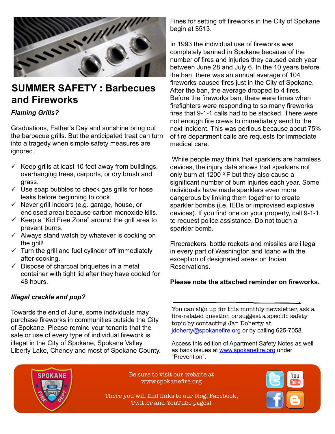

### **SUMMER SAFETY : Barbecues and Fireworks**

#### *Flaming Grills?*

Graduations, Father's Day and sunshine bring out the barbecue grills. But the anticipated treat can turn into a tragedy when simple safety measures are ignored.

- $\checkmark$  Keep grills at least 10 feet away from buildings, overhanging trees, carports, or dry brush and grass.
- $\checkmark$  Use soap bubbles to check gas grills for hose leaks before beginning to cook.
- ↓ And water water water water water water water water water water water was valued to the value of the value of the value of the value of the value of the value of the value of the value of the value of the value of the v enclosed area) because carbon monoxide kills.
- $\checkmark$  Keep a "Kid Free Zone" around the grill area to prevent burns.
- $\checkmark$  Always stand watch by whatever is cooking on the grill!
- $\checkmark$  Turn the grill and fuel cylinder off immediately after cooking.
- learn more at www.cookstop.com. container with tight lid after they have cooled for  $\checkmark$  Dispose of charcoal briquettes in a metal 48 hours.

### *Illegal crackle and pop?*

 $\mathbf{v}$  work to  $\mathbf{v}$ Liberty Lake, Cheney and most of Spokane County. Towards the end of June, some individuals may purchase fireworks in communities outside the City of Spokane. Please remind your tenants that the sale or use of every type of individual firework is illegal in the City of Spokane, Spokane Valley,

Fines for setting off fireworks in the City of Spokane begin at \$513.

In 1993 the individual use of fireworks was completely banned in Spokane because of the number of fires and injuries they caused each year between June 28 and July 6. In the 10 years before the ban, there was an annual average of 104 fireworks-caused fires just in the City of Spokane. After the ban, the average dropped to 4 fires. Before the fireworks ban, there were times when firefighters were responding to so many fireworks fires that 9-1-1 calls had to be stacked. There were not enough fire crews to immediately send to the next incident. This was perilous because about 75% of fire department calls are requests for immediate medical care.

 $R_{\text{L}}$  and a burn of 1200  $R_{\text{L}}$  but then ush and **only burn at 1200 °F** but they also cause a Recommend that tenants always keep a lid and a box of baking *and US Fire Administration*   $\frac{1}{2}$ soda  $\frac{1}{2}$  the state with greater theory of  $\frac{1}{2}$ for hose individuals have made sparklers even more dangerous by linking them together to create **Keep grills a safe distance from siding, eaves, wooden decks and overhanging branches.** Although grills account for rill area to to request police assistance. Do not touch a decks of multiples can decks can decks can decks can decks can deck any  $\frac{1}{2}$ sparkler bomb. significant number of burn injuries each year. Some *•Males face disproportionate risk*  devices). If you find one on your property, call 9-1-1 While people may think that sparklers are harmless devices, the injury data shows that sparklers not sparkler bombs (i.e. IEDs or improvised explosive

**Investigate new technology that addresses the problem of cooking fires.** If you have tenants who are part of the "higherrediately *in every part of Washington and Idaho with the*  $\frac{1}{2}$  will be interested to learn more about the CookStop state in the CookStop state in the CookStop state in the CookStop state in the CookStop state in the CookStop state in the CookStop state in the CookStop state exception of designated areas on Indian etal Reservations. *themselves.* Firecrackers, bottle rockets and missiles are illegal *in 5 times as many fires.* exception of designated areas on Indian

#### Olegas pate the offer predstructure diagned the opportunity to with the effective the effective of the effective of the effective of *occurred while the victims were*  Please note the attached reminder on fireworks.

pot of water was slightly scorched after several hours, but was  $\mathbf{y}_{\text{obs}}$  -m- $\mathbf{y}_{\text{obs}}$  . The regular element  $\mathbf{y}_{\text{obs}}$  as  $\mathbf{y}_{\text{obs}}$  as  $\mathbf{y}_{\text{obs}}$  $\lim_{n \to \infty}$  is more energy-efficient than  $\frac{1}{n}$  $\theta$  allows more it allows more interperature. It also in the  $\theta$  it allows fire-related question or suggest a specific safety  $\frac{dC}{dt}$  topic by contacting Jan Doherty at that the  $\frac{1}{2}$  identify a maximum or  $\alpha$  $\frac{1}{10}$  in at the  $\frac{1}{10}$  idoherty@spokanefire.org or by calling 625-7058.

/alley, and be access this edition of Apartment Safety Notes as well as back issues at [www.spokanefire.org](http://www.spokanefire.org) under "Prevention".



Be sure to visit our website at Be sure to visit our website at www.spokanefire.org [www.spokanefire.org](http://www.spokanefire.org)

There you will find links to our blog, There you will find links to our blog, Facebook, Twitter and YouTube pages!